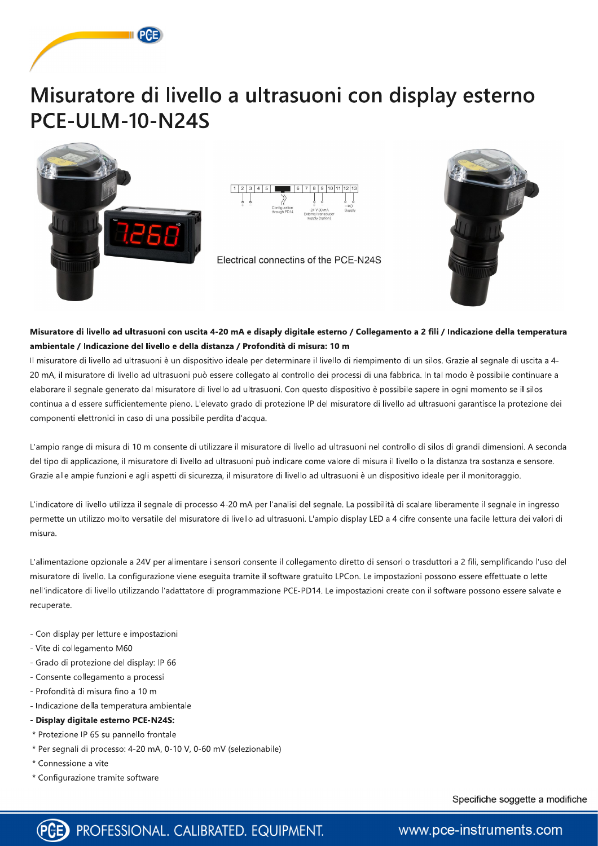

# Misuratore di livello a ultrasuoni con display esterno **PCE-ULM-10-N24S**





#### Misuratore di livello ad ultrasuoni con uscita 4-20 mA e disaply digitale esterno / Collegamento a 2 fili / Indicazione della temperatura ambientale / Indicazione del livello e della distanza / Profondità di misura: 10 m

Il misuratore di livello ad ultrasuoni è un dispositivo ideale per determinare il livello di riempimento di un silos. Grazie al segnale di uscita a 4-20 mA, il misuratore di livello ad ultrasuoni può essere collegato al controllo dei processi di una fabbrica. In tal modo è possibile continuare a elaborare il segnale generato dal misuratore di livello ad ultrasuoni. Con questo dispositivo è possibile sapere in ogni momento se il silos continua a d essere sufficientemente pieno. L'elevato grado di protezione IP del misuratore di livello ad ultrasuoni garantisce la protezione dei componenti elettronici in caso di una possibile perdita d'acqua.

L'ampio range di misura di 10 m consente di utilizzare il misuratore di livello ad ultrasuoni nel controllo di silos di grandi dimensioni. A seconda del tipo di applicazione, il misuratore di livello ad ultrasuoni può indicare come valore di misura il livello o la distanza tra sostanza e sensore. Grazie alle ampie funzioni e agli aspetti di sicurezza, il misuratore di livello ad ultrasuoni è un dispositivo ideale per il monitoraggio.

L'indicatore di livello utilizza il segnale di processo 4-20 mA per l'analisi del segnale. La possibilità di scalare liberamente il segnale in ingresso permette un utilizzo molto versatile del misuratore di livello ad ultrasuoni. L'ampio display LED a 4 cifre consente una facile lettura dei valori di misura.

L'alimentazione opzionale a 24V per alimentare i sensori consente il collegamento diretto di sensori o trasduttori a 2 fili, semplificando l'uso del misuratore di livello. La configurazione viene eseguita tramite il software gratuito LPCon. Le impostazioni possono essere effettuate o lette nell'indicatore di livello utilizzando l'adattatore di programmazione PCE-PD14. Le impostazioni create con il software possono essere salvate e recuperate.

- Con display per letture e impostazioni
- Vite di collegamento M60
- Grado di protezione del display: IP 66
- Consente collegamento a processi
- Profondità di misura fino a 10 m
- Indicazione della temperatura ambientale
- Display digitale esterno PCE-N24S:
- \* Protezione IP 65 su pannello frontale
- \* Per segnali di processo: 4-20 mA, 0-10 V, 0-60 mV (selezionabile)
- \* Connessione a vite
- \* Configurazione tramite software

Specifiche soggette a modifiche



F PROFESSIONAL. CALIBRATED. EQUIPMENT.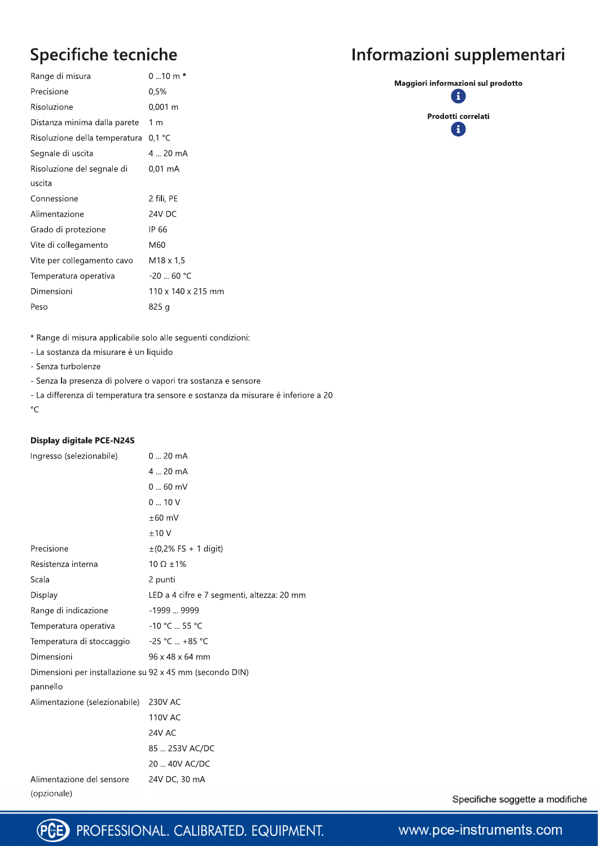## Specifiche tecniche

| Range di misura               | $010$ m $*$        |
|-------------------------------|--------------------|
| Precisione                    | 0,5%               |
| Risoluzione                   | $0,001 \; m$       |
| Distanza minima dalla parete  | 1 m                |
| Risoluzione della temperatura | $0,1$ °C           |
| Segnale di uscita             | 4  20 mA           |
| Risoluzione del segnale di    | 0,01 mA            |
| uscita                        |                    |
| Connessione                   | 2 fili, PE         |
| Alimentazione                 | 24V DC             |
| Grado di protezione           | IP 66              |
| Vite di collegamento          | M60                |
| Vite per collegamento cavo    | M18 x 1,5          |
| Temperatura operativa         | $-20$ 60 °C        |
| Dimensioni                    | 110 x 140 x 215 mm |
| Peso                          | 825 g              |
|                               |                    |

### Informazioni supplementari

Maggiori informazioni sul prodotto  $\mathbf{1}$ Prodotti correlati A

\* Range di misura applicabile solo alle seguenti condizioni:

- La sostanza da misurare è un liquido

- Senza turbolenze

- Senza la presenza di polvere o vapori tra sostanza e sensore

- La differenza di temperatura tra sensore e sostanza da misurare è inferiore a 20  $\circ$ C

#### **Display digitale PCE-N24S**

| Ingresso (selezionabile)                                 | $020$ mA                                   |
|----------------------------------------------------------|--------------------------------------------|
|                                                          | 4  20 mA                                   |
|                                                          | $060$ mV                                   |
|                                                          | 010V                                       |
|                                                          | $±60$ mV                                   |
|                                                          | ±10V                                       |
| Precisione                                               | $\pm$ (0,2% FS + 1 digit)                  |
| Resistenza interna                                       | $10 \Omega \pm 1\%$                        |
| Scala                                                    | 2 punti                                    |
| Display                                                  | LED a 4 cifre e 7 segmenti, altezza: 20 mm |
| Range di indicazione                                     | -1999  9999                                |
| Temperatura operativa                                    | -10 °C  55 °C                              |
| Temperatura di stoccaggio                                | $-25 °C$ +85 °C                            |
| Dimensioni                                               | 96 x 48 x 64 mm                            |
| Dimensioni per installazione su 92 x 45 mm (secondo DIN) |                                            |
| pannello                                                 |                                            |
| Alimentazione (selezionabile)                            | 230V AC                                    |
|                                                          | <b>110V AC</b>                             |
|                                                          | 24V AC                                     |
|                                                          | 85  253V AC/DC                             |
|                                                          | 20  40V AC/DC                              |
| Alimentazione del sensore                                | 24V DC, 30 mA                              |
| (opzionale)                                              |                                            |

Specifiche soggette a modifiche